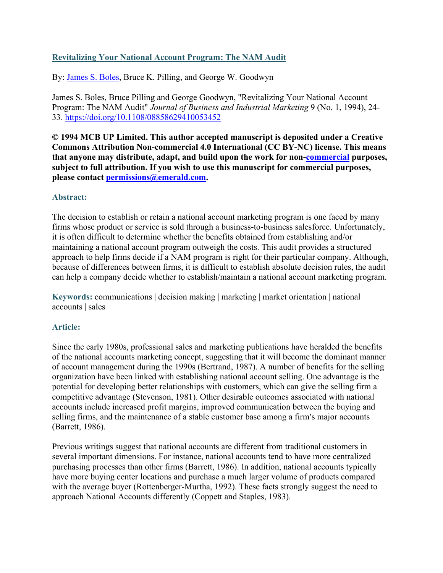## **Revitalizing Your National Account Program: The NAM Audit**

By: [James S. Boles,](https://libres.uncg.edu/ir/uncg/clist.aspx?id=26270) Bruce K. Pilling, and George W. Goodwyn

James S. Boles, Bruce Pilling and George Goodwyn, "Revitalizing Your National Account Program: The NAM Audit" *Journal of Business and Industrial Marketing* 9 (No. 1, 1994), 24- 33. <https://doi.org/10.1108/08858629410053452>

**© 1994 MCB UP Limited. This author accepted manuscript is deposited under a Creative Commons Attribution Non-commercial 4.0 International (CC BY-NC) license. This means that anyone may distribute, adapt, and build upon the work for non[-commercial](https://creativecommons.org/licenses/by-nc/4.0/) purposes, subject to full attribution. If you wish to use this manuscript for commercial purposes, please contact [permissions@emerald.com.](mailto:permissions@emerald.com)**

#### **Abstract:**

The decision to establish or retain a national account marketing program is one faced by many firms whose product or service is sold through a business-to-business salesforce. Unfortunately, it is often difficult to determine whether the benefits obtained from establishing and/or maintaining a national account program outweigh the costs. This audit provides a structured approach to help firms decide if a NAM program is right for their particular company. Although, because of differences between firms, it is difficult to establish absolute decision rules, the audit can help a company decide whether to establish/maintain a national account marketing program.

Keywords: communications | decision making | marketing | market orientation | national accounts | sales

#### **Article:**

Since the early 1980s, professional sales and marketing publications have heralded the benefits of the national accounts marketing concept, suggesting that it will become the dominant manner of account management during the 1990s (Bertrand, 1987). A number of benefits for the selling organization have been linked with establishing national account selling. One advantage is the potential for developing better relationships with customers, which can give the selling firm a competitive advantage (Stevenson, 1981). Other desirable outcomes associated with national accounts include increased profit margins, improved communication between the buying and selling firms, and the maintenance of a stable customer base among a firm′s major accounts (Barrett, 1986).

Previous writings suggest that national accounts are different from traditional customers in several important dimensions. For instance, national accounts tend to have more centralized purchasing processes than other firms (Barrett, 1986). In addition, national accounts typically have more buying center locations and purchase a much larger volume of products compared with the average buyer (Rottenberger-Murtha, 1992). These facts strongly suggest the need to approach National Accounts differently (Coppett and Staples, 1983).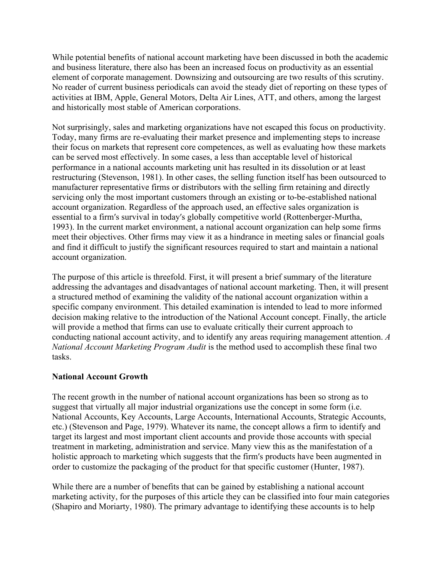While potential benefits of national account marketing have been discussed in both the academic and business literature, there also has been an increased focus on productivity as an essential element of corporate management. Downsizing and outsourcing are two results of this scrutiny. No reader of current business periodicals can avoid the steady diet of reporting on these types of activities at IBM, Apple, General Motors, Delta Air Lines, ATT, and others, among the largest and historically most stable of American corporations.

Not surprisingly, sales and marketing organizations have not escaped this focus on productivity. Today, many firms are re‐evaluating their market presence and implementing steps to increase their focus on markets that represent core competences, as well as evaluating how these markets can be served most effectively. In some cases, a less than acceptable level of historical performance in a national accounts marketing unit has resulted in its dissolution or at least restructuring (Stevenson, 1981). In other cases, the selling function itself has been outsourced to manufacturer representative firms or distributors with the selling firm retaining and directly servicing only the most important customers through an existing or to-be-established national account organization. Regardless of the approach used, an effective sales organization is essential to a firm′s survival in today′s globally competitive world (Rottenberger‐Murtha, 1993). In the current market environment, a national account organization can help some firms meet their objectives. Other firms may view it as a hindrance in meeting sales or financial goals and find it difficult to justify the significant resources required to start and maintain a national account organization.

The purpose of this article is threefold. First, it will present a brief summary of the literature addressing the advantages and disadvantages of national account marketing. Then, it will present a structured method of examining the validity of the national account organization within a specific company environment. This detailed examination is intended to lead to more informed decision making relative to the introduction of the National Account concept. Finally, the article will provide a method that firms can use to evaluate critically their current approach to conducting national account activity, and to identify any areas requiring management attention. *A National Account Marketing Program Audit* is the method used to accomplish these final two tasks.

#### **National Account Growth**

The recent growth in the number of national account organizations has been so strong as to suggest that virtually all major industrial organizations use the concept in some form (i.e. National Accounts, Key Accounts, Large Accounts, International Accounts, Strategic Accounts, etc.) (Stevenson and Page, 1979). Whatever its name, the concept allows a firm to identify and target its largest and most important client accounts and provide those accounts with special treatment in marketing, administration and service. Many view this as the manifestation of a holistic approach to marketing which suggests that the firm′s products have been augmented in order to customize the packaging of the product for that specific customer (Hunter, 1987).

While there are a number of benefits that can be gained by establishing a national account marketing activity, for the purposes of this article they can be classified into four main categories (Shapiro and Moriarty, 1980). The primary advantage to identifying these accounts is to help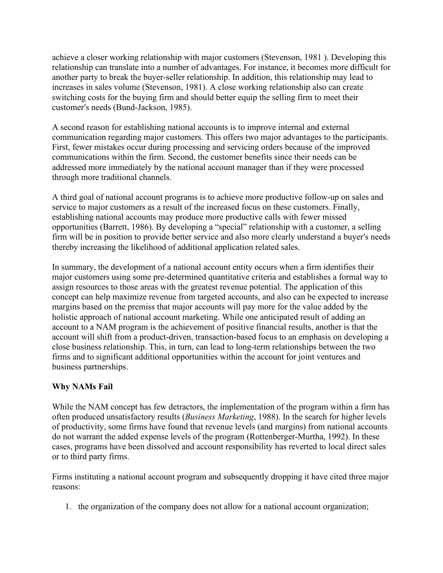achieve a closer working relationship with major customers (Stevenson, 1981 ). Developing this relationship can translate into a number of advantages. For instance, it becomes more difficult for another party to break the buyer‐seller relationship. In addition, this relationship may lead to increases in sales volume (Stevenson, 1981). A close working relationship also can create switching costs for the buying firm and should better equip the selling firm to meet their customer′s needs (Bund‐Jackson, 1985).

A second reason for establishing national accounts is to improve internal and external communication regarding major customers. This offers two major advantages to the participants. First, fewer mistakes occur during processing and servicing orders because of the improved communications within the firm. Second, the customer benefits since their needs can be addressed more immediately by the national account manager than if they were processed through more traditional channels.

A third goal of national account programs is to achieve more productive follow‐up on sales and service to major customers as a result of the increased focus on these customers. Finally, establishing national accounts may produce more productive calls with fewer missed opportunities (Barrett, 1986). By developing a "special" relationship with a customer, a selling firm will be in position to provide better service and also more clearly understand a buyer′s needs thereby increasing the likelihood of additional application related sales.

In summary, the development of a national account entity occurs when a firm identifies their major customers using some pre‐determined quantitative criteria and establishes a formal way to assign resources to those areas with the greatest revenue potential. The application of this concept can help maximize revenue from targeted accounts, and also can be expected to increase margins based on the premiss that major accounts will pay more for the value added by the holistic approach of national account marketing. While one anticipated result of adding an account to a NAM program is the achievement of positive financial results, another is that the account will shift from a product‐driven, transaction‐based focus to an emphasis on developing a close business relationship. This, in turn, can lead to long‐term relationships between the two firms and to significant additional opportunities within the account for joint ventures and business partnerships.

#### **Why NAMs Fail**

While the NAM concept has few detractors, the implementation of the program within a firm has often produced unsatisfactory results (*Business Marketing*, 1988). In the search for higher levels of productivity, some firms have found that revenue levels (and margins) from national accounts do not warrant the added expense levels of the program (Rottenberger‐Murtha, 1992). In these cases, programs have been dissolved and account responsibility has reverted to local direct sales or to third party firms.

Firms instituting a national account program and subsequently dropping it have cited three major reasons:

1. the organization of the company does not allow for a national account organization;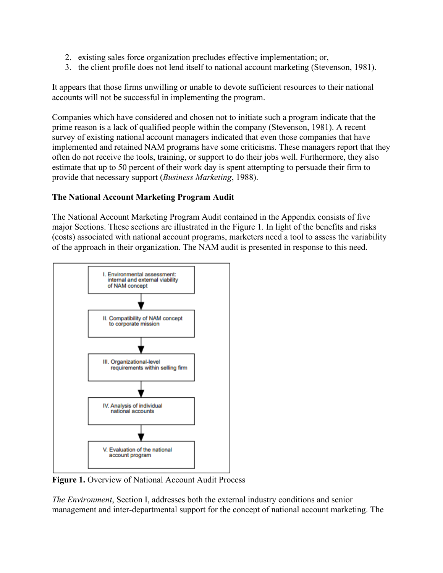- 2. existing sales force organization precludes effective implementation; or,
- 3. the client profile does not lend itself to national account marketing (Stevenson, 1981).

It appears that those firms unwilling or unable to devote sufficient resources to their national accounts will not be successful in implementing the program.

Companies which have considered and chosen not to initiate such a program indicate that the prime reason is a lack of qualified people within the company (Stevenson, 1981). A recent survey of existing national account managers indicated that even those companies that have implemented and retained NAM programs have some criticisms. These managers report that they often do not receive the tools, training, or support to do their jobs well. Furthermore, they also estimate that up to 50 percent of their work day is spent attempting to persuade their firm to provide that necessary support (*Business Marketing*, 1988).

#### **The National Account Marketing Program Audit**

The National Account Marketing Program Audit contained in the Appendix consists of five major Sections. These sections are illustrated in the Figure 1. In light of the benefits and risks (costs) associated with national account programs, marketers need a tool to assess the variability of the approach in their organization. The NAM audit is presented in response to this need.



**Figure 1.** Overview of National Account Audit Process

*The Environment*, Section I, addresses both the external industry conditions and senior management and inter‐departmental support for the concept of national account marketing. The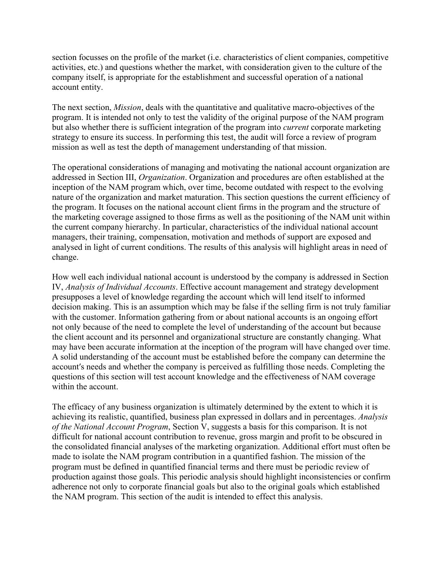section focusses on the profile of the market (i.e. characteristics of client companies, competitive activities, etc.) and questions whether the market, with consideration given to the culture of the company itself, is appropriate for the establishment and successful operation of a national account entity.

The next section, *Mission*, deals with the quantitative and qualitative macro-objectives of the program. It is intended not only to test the validity of the original purpose of the NAM program but also whether there is sufficient integration of the program into *current* corporate marketing strategy to ensure its success. In performing this test, the audit will force a review of program mission as well as test the depth of management understanding of that mission.

The operational considerations of managing and motivating the national account organization are addressed in Section III, *Organization*. Organization and procedures are often established at the inception of the NAM program which, over time, become outdated with respect to the evolving nature of the organization and market maturation. This section questions the current efficiency of the program. It focuses on the national account client firms in the program and the structure of the marketing coverage assigned to those firms as well as the positioning of the NAM unit within the current company hierarchy. In particular, characteristics of the individual national account managers, their training, compensation, motivation and methods of support are exposed and analysed in light of current conditions. The results of this analysis will highlight areas in need of change.

How well each individual national account is understood by the company is addressed in Section IV, *Analysis of Individual Accounts*. Effective account management and strategy development presupposes a level of knowledge regarding the account which will lend itself to informed decision making. This is an assumption which may be false if the selling firm is not truly familiar with the customer. Information gathering from or about national accounts is an ongoing effort not only because of the need to complete the level of understanding of the account but because the client account and its personnel and organizational structure are constantly changing. What may have been accurate information at the inception of the program will have changed over time. A solid understanding of the account must be established before the company can determine the account′s needs and whether the company is perceived as fulfilling those needs. Completing the questions of this section will test account knowledge and the effectiveness of NAM coverage within the account.

The efficacy of any business organization is ultimately determined by the extent to which it is achieving its realistic, quantified, business plan expressed in dollars and in percentages. *Analysis of the National Account Program*, Section V, suggests a basis for this comparison. It is not difficult for national account contribution to revenue, gross margin and profit to be obscured in the consolidated financial analyses of the marketing organization. Additional effort must often be made to isolate the NAM program contribution in a quantified fashion. The mission of the program must be defined in quantified financial terms and there must be periodic review of production against those goals. This periodic analysis should highlight inconsistencies or confirm adherence not only to corporate financial goals but also to the original goals which established the NAM program. This section of the audit is intended to effect this analysis.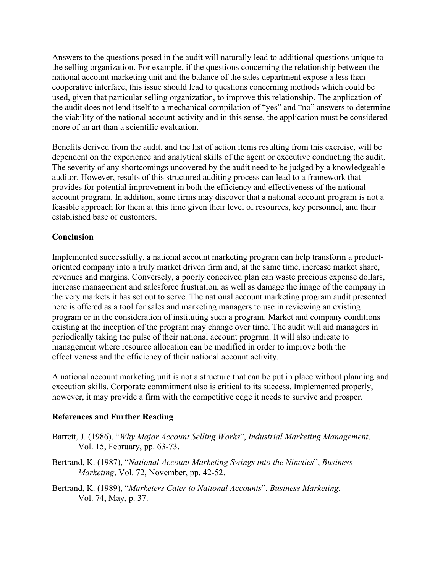Answers to the questions posed in the audit will naturally lead to additional questions unique to the selling organization. For example, if the questions concerning the relationship between the national account marketing unit and the balance of the sales department expose a less than cooperative interface, this issue should lead to questions concerning methods which could be used, given that particular selling organization, to improve this relationship. The application of the audit does not lend itself to a mechanical compilation of "yes" and "no" answers to determine the viability of the national account activity and in this sense, the application must be considered more of an art than a scientific evaluation.

Benefits derived from the audit, and the list of action items resulting from this exercise, will be dependent on the experience and analytical skills of the agent or executive conducting the audit. The severity of any shortcomings uncovered by the audit need to be judged by a knowledgeable auditor. However, results of this structured auditing process can lead to a framework that provides for potential improvement in both the efficiency and effectiveness of the national account program. In addition, some firms may discover that a national account program is not a feasible approach for them at this time given their level of resources, key personnel, and their established base of customers.

#### **Conclusion**

Implemented successfully, a national account marketing program can help transform a product‐ oriented company into a truly market driven firm and, at the same time, increase market share, revenues and margins. Conversely, a poorly conceived plan can waste precious expense dollars, increase management and salesforce frustration, as well as damage the image of the company in the very markets it has set out to serve. The national account marketing program audit presented here is offered as a tool for sales and marketing managers to use in reviewing an existing program or in the consideration of instituting such a program. Market and company conditions existing at the inception of the program may change over time. The audit will aid managers in periodically taking the pulse of their national account program. It will also indicate to management where resource allocation can be modified in order to improve both the effectiveness and the efficiency of their national account activity.

A national account marketing unit is not a structure that can be put in place without planning and execution skills. Corporate commitment also is critical to its success. Implemented properly, however, it may provide a firm with the competitive edge it needs to survive and prosper.

#### **References and Further Reading**

- Barrett, J. (1986), "*Why Major Account Selling Works*", *Industrial Marketing Management*, Vol. 15, February, pp. 63‐73.
- Bertrand, K. (1987), "*National Account Marketing Swings into the Nineties*", *Business Marketing*, Vol. 72, November, pp. 42‐52.
- Bertrand, K. (1989), "*Marketers Cater to National Accounts*", *Business Marketing*, Vol. 74, May, p. 37.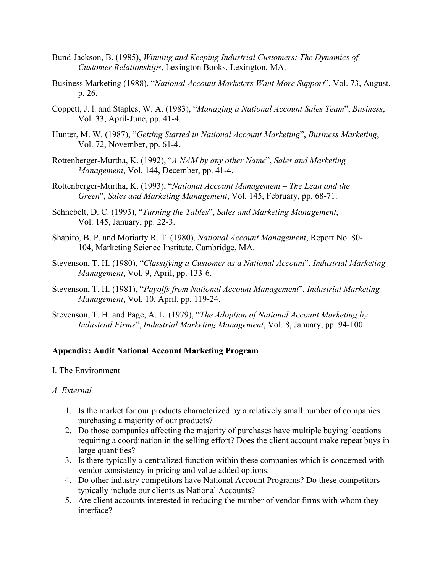- Bund‐Jackson, B. (1985), *Winning and Keeping Industrial Customers: The Dynamics of Customer Relationships*, Lexington Books, Lexington, MA.
- Business Marketing (1988), "*National Account Marketers Want More Support*", Vol. 73, August, p. 26.
- Coppett, J. l. and Staples, W. A. (1983), "*Managing a National Account Sales Team*", *Business*, Vol. 33, April‐June, pp. 41‐4.
- Hunter, M. W. (1987), "*Getting Started in National Account Marketing*", *Business Marketing*, Vol. 72, November, pp. 61‐4.
- Rottenberger‐Murtha, K. (1992), "*A NAM by any other Name*", *Sales and Marketing Management*, Vol. 144, December, pp. 41‐4.
- Rottenberger‐Murtha, K. (1993), "*National Account Management – The Lean and the Green*", *Sales and Marketing Management*, Vol. 145, February, pp. 68‐71.
- Schnebelt, D. C. (1993), "*Turning the Tables*", *Sales and Marketing Management*, Vol. 145, January, pp. 22‐3.
- Shapiro, B. P. and Moriarty R. T. (1980), *National Account Management*, Report No. 80‐ 104, Marketing Science Institute, Cambridge, MA.
- Stevenson, T. H. (1980), "*Classifying a Customer as a National Account*", *Industrial Marketing Management*, Vol. 9, April, pp. 133‐6.
- Stevenson, T. H. (1981), "*Payoffs from National Account Management*", *Industrial Marketing Management*, Vol. 10, April, pp. 119‐24.
- Stevenson, T. H. and Page, A. L. (1979), "*The Adoption of National Account Marketing by Industrial Firms*", *Industrial Marketing Management*, Vol. 8, January, pp. 94‐100.

#### **Appendix: Audit National Account Marketing Program**

I. The Environment

#### *A. External*

- 1. Is the market for our products characterized by a relatively small number of companies purchasing a majority of our products?
- 2. Do those companies affecting the majority of purchases have multiple buying locations requiring a coordination in the selling effort? Does the client account make repeat buys in large quantities?
- 3. Is there typically a centralized function within these companies which is concerned with vendor consistency in pricing and value added options.
- 4. Do other industry competitors have National Account Programs? Do these competitors typically include our clients as National Accounts?
- 5. Are client accounts interested in reducing the number of vendor firms with whom they interface?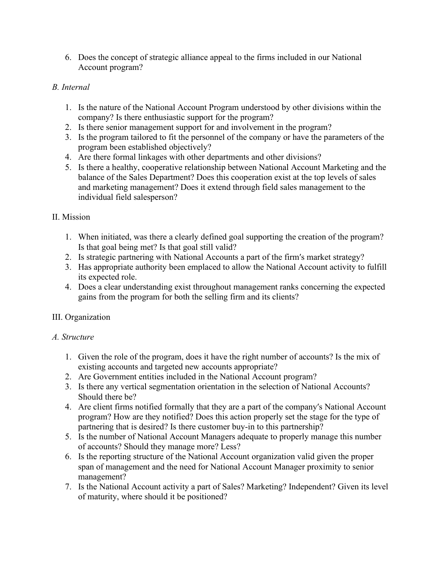6. Does the concept of strategic alliance appeal to the firms included in our National Account program?

#### *B. Internal*

- 1. Is the nature of the National Account Program understood by other divisions within the company? Is there enthusiastic support for the program?
- 2. Is there senior management support for and involvement in the program?
- 3. Is the program tailored to fit the personnel of the company or have the parameters of the program been established objectively?
- 4. Are there formal linkages with other departments and other divisions?
- 5. Is there a healthy, cooperative relationship between National Account Marketing and the balance of the Sales Department? Does this cooperation exist at the top levels of sales and marketing management? Does it extend through field sales management to the individual field salesperson?

## II. Mission

- 1. When initiated, was there a clearly defined goal supporting the creation of the program? Is that goal being met? Is that goal still valid?
- 2. Is strategic partnering with National Accounts a part of the firm′s market strategy?
- 3. Has appropriate authority been emplaced to allow the National Account activity to fulfill its expected role.
- 4. Does a clear understanding exist throughout management ranks concerning the expected gains from the program for both the selling firm and its clients?

# III. Organization

#### *A. Structure*

- 1. Given the role of the program, does it have the right number of accounts? Is the mix of existing accounts and targeted new accounts appropriate?
- 2. Are Government entities included in the National Account program?
- 3. Is there any vertical segmentation orientation in the selection of National Accounts? Should there be?
- 4. Are client firms notified formally that they are a part of the company′s National Account program? How are they notified? Does this action properly set the stage for the type of partnering that is desired? Is there customer buy-in to this partnership?
- 5. Is the number of National Account Managers adequate to properly manage this number of accounts? Should they manage more? Less?
- 6. Is the reporting structure of the National Account organization valid given the proper span of management and the need for National Account Manager proximity to senior management?
- 7. Is the National Account activity a part of Sales? Marketing? Independent? Given its level of maturity, where should it be positioned?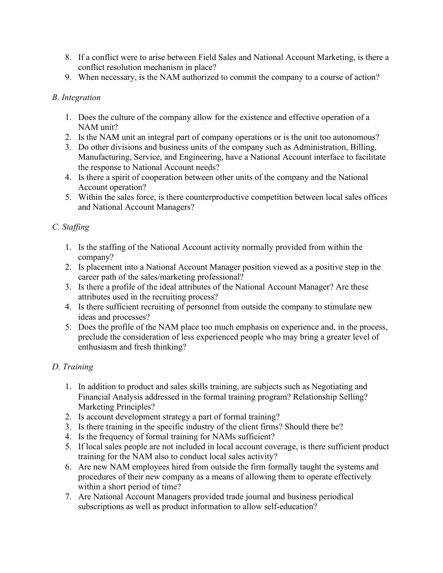- 8. If a conflict were to arise between Field Sales and National Account Marketing, is there a conflict resolution mechanism in place?
- 9. When necessary, is the NAM authorized to commit the company to a course of action?

## *B. Integration*

- 1. Does the culture of the company allow for the existence and effective operation of a NAM unit?
- 2. Is the NAM unit an integral part of company operations or is the unit too autonomous?
- 3. Do other divisions and business units of the company such as Administration, Billing, Manufacturing, Service, and Engineering, have a National Account interface to facilitate the response to National Account needs?
- 4. Is there a spirit of cooperation between other units of the company and the National Account operation?
- 5. Within the sales force, is there counterproductive competition between local sales offices and National Account Managers?

# *C. Staffing*

- 1. Is the staffing of the National Account activity normally provided from within the company?
- 2. Is placement into a National Account Manager position viewed as a positive step in the career path of the sales/marketing professional?
- 3. Is there a profile of the ideal attributes of the National Account Manager? Are these attributes used in the recruiting process?
- 4. Is there sufficient recruiting of personnel from outside the company to stimulate new ideas and processes?
- 5. Does the profile of the NAM place too much emphasis on experience and, in the process, preclude the consideration of less experienced people who may bring a greater level of enthusiasm and fresh thinking?

# *D. Training*

- 1. In addition to product and sales skills training, are subjects such as Negotiating and Financial Analysis addressed in the formal training program? Relationship Selling? Marketing Principles?
- 2. Is account development strategy a part of formal training?
- 3. Is there training in the specific industry of the client firms? Should there be?
- 4. Is the frequency of formal training for NAMs sufficient?
- 5. If local sales people are not included in local account coverage, is there sufficient product training for the NAM also to conduct local sales activity?
- 6. Are new NAM employees hired from outside the firm formally taught the systems and procedures of their new company as a means of allowing them to operate effectively within a short period of time?
- 7. Are National Account Managers provided trade journal and business periodical subscriptions as well as product information to allow self-education?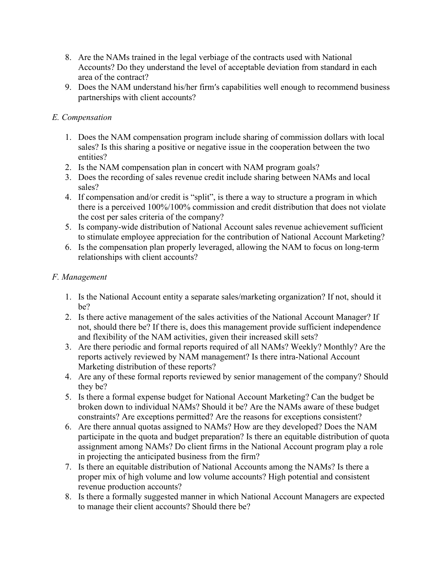- 8. Are the NAMs trained in the legal verbiage of the contracts used with National Accounts? Do they understand the level of acceptable deviation from standard in each area of the contract?
- 9. Does the NAM understand his/her firm′s capabilities well enough to recommend business partnerships with client accounts?

## *E. Compensation*

- 1. Does the NAM compensation program include sharing of commission dollars with local sales? Is this sharing a positive or negative issue in the cooperation between the two entities?
- 2. Is the NAM compensation plan in concert with NAM program goals?
- 3. Does the recording of sales revenue credit include sharing between NAMs and local sales?
- 4. If compensation and/or credit is "split", is there a way to structure a program in which there is a perceived 100%/100% commission and credit distribution that does not violate the cost per sales criteria of the company?
- 5. Is company-wide distribution of National Account sales revenue achievement sufficient to stimulate employee appreciation for the contribution of National Account Marketing?
- 6. Is the compensation plan properly leveraged, allowing the NAM to focus on long‐term relationships with client accounts?

## *F. Management*

- 1. Is the National Account entity a separate sales/marketing organization? If not, should it be?
- 2. Is there active management of the sales activities of the National Account Manager? If not, should there be? If there is, does this management provide sufficient independence and flexibility of the NAM activities, given their increased skill sets?
- 3. Are there periodic and formal reports required of all NAMs? Weekly? Monthly? Are the reports actively reviewed by NAM management? Is there intra‐National Account Marketing distribution of these reports?
- 4. Are any of these formal reports reviewed by senior management of the company? Should they be?
- 5. Is there a formal expense budget for National Account Marketing? Can the budget be broken down to individual NAMs? Should it be? Are the NAMs aware of these budget constraints? Are exceptions permitted? Are the reasons for exceptions consistent?
- 6. Are there annual quotas assigned to NAMs? How are they developed? Does the NAM participate in the quota and budget preparation? Is there an equitable distribution of quota assignment among NAMs? Do client firms in the National Account program play a role in projecting the anticipated business from the firm?
- 7. Is there an equitable distribution of National Accounts among the NAMs? Is there a proper mix of high volume and low volume accounts? High potential and consistent revenue production accounts?
- 8. Is there a formally suggested manner in which National Account Managers are expected to manage their client accounts? Should there be?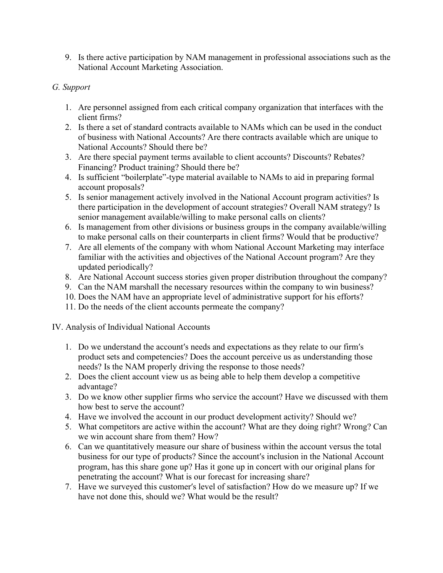9. Is there active participation by NAM management in professional associations such as the National Account Marketing Association.

## *G. Support*

- 1. Are personnel assigned from each critical company organization that interfaces with the client firms?
- 2. Is there a set of standard contracts available to NAMs which can be used in the conduct of business with National Accounts? Are there contracts available which are unique to National Accounts? Should there be?
- 3. Are there special payment terms available to client accounts? Discounts? Rebates? Financing? Product training? Should there be?
- 4. Is sufficient "boilerplate"‐type material available to NAMs to aid in preparing formal account proposals?
- 5. Is senior management actively involved in the National Account program activities? Is there participation in the development of account strategies? Overall NAM strategy? Is senior management available/willing to make personal calls on clients?
- 6. Is management from other divisions or business groups in the company available/willing to make personal calls on their counterparts in client firms? Would that be productive?
- 7. Are all elements of the company with whom National Account Marketing may interface familiar with the activities and objectives of the National Account program? Are they updated periodically?
- 8. Are National Account success stories given proper distribution throughout the company?
- 9. Can the NAM marshall the necessary resources within the company to win business?
- 10. Does the NAM have an appropriate level of administrative support for his efforts?
- 11. Do the needs of the client accounts permeate the company?

IV. Analysis of Individual National Accounts

- 1. Do we understand the account′s needs and expectations as they relate to our firm′s product sets and competencies? Does the account perceive us as understanding those needs? Is the NAM properly driving the response to those needs?
- 2. Does the client account view us as being able to help them develop a competitive advantage?
- 3. Do we know other supplier firms who service the account? Have we discussed with them how best to serve the account?
- 4. Have we involved the account in our product development activity? Should we?
- 5. What competitors are active within the account? What are they doing right? Wrong? Can we win account share from them? How?
- 6. Can we quantitatively measure our share of business within the account versus the total business for our type of products? Since the account′s inclusion in the National Account program, has this share gone up? Has it gone up in concert with our original plans for penetrating the account? What is our forecast for increasing share?
- 7. Have we surveyed this customer′s level of satisfaction? How do we measure up? If we have not done this, should we? What would be the result?